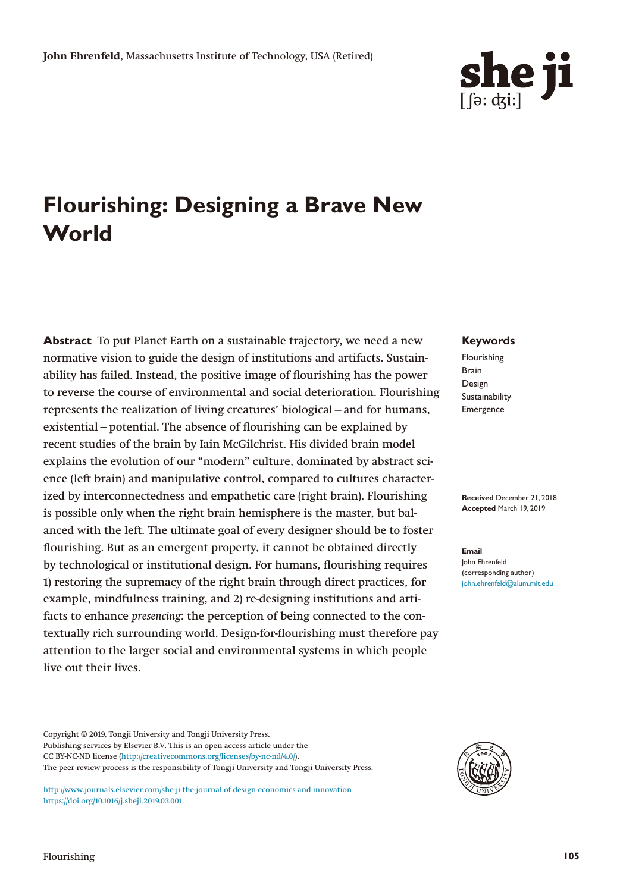

# **Flourishing: Designing a Brave New World**

**Abstract** To put Planet Earth on a sustainable trajectory, we need a new normative vision to guide the design of institutions and artifacts. Sustainability has failed. Instead, the positive image of flourishing has the power to reverse the course of environmental and social deterioration. Flourishing represents the realization of living creatures' biological—and for humans, existential—potential. The absence of flourishing can be explained by recent studies of the brain by Iain McGilchrist. His divided brain model explains the evolution of our "modern" culture, dominated by abstract science (left brain) and manipulative control, compared to cultures characterized by interconnectedness and empathetic care (right brain). Flourishing is possible only when the right brain hemisphere is the master, but balanced with the left. The ultimate goal of every designer should be to foster flourishing. But as an emergent property, it cannot be obtained directly by technological or institutional design. For humans, flourishing requires 1) restoring the supremacy of the right brain through direct practices, for example, mindfulness training, and 2) re-designing institutions and artifacts to enhance *presencing*: the perception of being connected to the contextually rich surrounding world. Design-for-flourishing must therefore pay attention to the larger social and environmental systems in which people live out their lives.

**Keywords**

Flourishing Brain Design Sustainability Emergence

**Received** December 21, 2018 **Accepted** March 19, 2019

**Email** John Ehrenfeld (corresponding author) [john.ehrenfeld@alum.mit.edu](mailto:john.ehrenfeld@alum.mit.edu)

Copyright © 2019, Tongji University and Tongji University Press. Publishing services by Elsevier B.V. This is an open access article under the CC BY-NC-ND license ([http://creativecommons.org/licenses/by-nc-nd/4.0/\)](http://creativecommons.org/licenses/by-nc-nd/4.0/). The peer review process is the responsibility of Tongji University and Tongji University Press.

<http://www.journals.elsevier.com/she-ji-the-journal-of-design-economics-and-innovation> <https://doi.org/10.1016/j.sheji.2019.03.001>

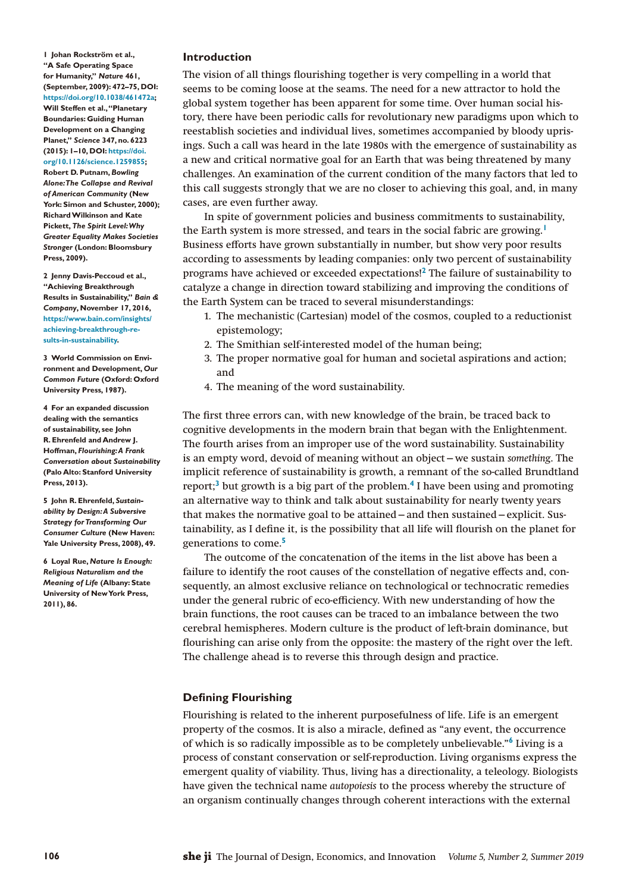<span id="page-1-0"></span>**1 Johan Rockström et al., "A Safe Operating Space for Humanity,"** *Nature* **461, (September, 2009): 472–75, DOI: <https://doi.org/10.1038/461472a>; Will Steffen et al., "Planetary Boundaries: Guiding Human Development on a Changing Planet,"** *Science* **347, no. 6223 (2015): 1–10, DOI: [https://doi.](https://doi.org/10.1126/science.1259855) [org/10.1126/science.1259855;](https://doi.org/10.1126/science.1259855) Robert D. Putnam,** *Bowling Alone: The Collapse and Revival of American Community* **(New York: Simon and Schuster, 2000); Richard Wilkinson and Kate Pickett,** *The Spirit Level: Why Greater Equality Makes Societies Stronger* **(London: Bloomsbury** 

<span id="page-1-1"></span>**2 Jenny Davis-Peccoud et al., "Achieving Breakthrough Results in Sustainability,"** *Bain & Company***, November 17, 2016, [https://www.bain.com/insights/](https://www.bain.com/insights/achieving-breakthrough-results-in-sustainability) [achieving-breakthrough-re](https://www.bain.com/insights/achieving-breakthrough-results-in-sustainability)[sults-in-sustainability](https://www.bain.com/insights/achieving-breakthrough-results-in-sustainability).**

**Press, 2009).**

<span id="page-1-2"></span>**3 World Commission on Environment and Development,** *Our Common Future* **(Oxford: Oxford University Press, 1987).**

<span id="page-1-3"></span>**4 For an expanded discussion dealing with the semantics of sustainability, see John R. Ehrenfeld and Andrew J. Hoffman,** *Flourishing: A Frank Conversation about Sustainability* **(Palo Alto: Stanford University Press, 2013).**

<span id="page-1-4"></span>**5 John R. Ehrenfeld,** *Sustainability by Design: A Subversive Strategy for Transforming Our Consumer Culture* **(New Haven: Yale University Press, 2008), 49.**

<span id="page-1-5"></span>**6 Loyal Rue,** *Nature Is Enough: Religious Naturalism and the Meaning of Life* **(Albany: State University of New York Press, 2011), 86.**

# **Introduction**

The vision of all things flourishing together is very compelling in a world that seems to be coming loose at the seams. The need for a new attractor to hold the global system together has been apparent for some time. Over human social history, there have been periodic calls for revolutionary new paradigms upon which to reestablish societies and individual lives, sometimes accompanied by bloody uprisings. Such a call was heard in the late 1980s with the emergence of sustainability as a new and critical normative goal for an Earth that was being threatened by many challenges. An examination of the current condition of the many factors that led to this call suggests strongly that we are no closer to achieving this goal, and, in many cases, are even further away.

In spite of government policies and business commitments to sustainability, the Earth system is more stressed, and tears in the social fabric are growing.**[1](#page-1-0)** Business efforts have grown substantially in number, but show very poor results according to assessments by leading companies: only two percent of sustainability programs have achieved or exceeded expectations!**[2](#page-1-1)** The failure of sustainability to catalyze a change in direction toward stabilizing and improving the conditions of the Earth System can be traced to several misunderstandings:

- 1. The mechanistic (Cartesian) model of the cosmos, coupled to a reductionist epistemology;
- 2. The Smithian self-interested model of the human being;
- 3. The proper normative goal for human and societal aspirations and action; and
- 4. The meaning of the word sustainability.

The first three errors can, with new knowledge of the brain, be traced back to cognitive developments in the modern brain that began with the Enlightenment. The fourth arises from an improper use of the word sustainability. Sustainability is an empty word, devoid of meaning without an object—we sustain *something*. The implicit reference of sustainability is growth, a remnant of the so-called Brundtland report;**[3](#page-1-2)** but growth is a big part of the problem.**[4](#page-1-3)** I have been using and promoting an alternative way to think and talk about sustainability for nearly twenty years that makes the normative goal to be attained—and then sustained—explicit. Sustainability, as I define it, is the possibility that all life will flourish on the planet for generations to come.**[5](#page-1-4)**

The outcome of the concatenation of the items in the list above has been a failure to identify the root causes of the constellation of negative effects and, consequently, an almost exclusive reliance on technological or technocratic remedies under the general rubric of eco-efficiency. With new understanding of how the brain functions, the root causes can be traced to an imbalance between the two cerebral hemispheres. Modern culture is the product of left-brain dominance, but flourishing can arise only from the opposite: the mastery of the right over the left. The challenge ahead is to reverse this through design and practice.

# **Defining Flourishing**

Flourishing is related to the inherent purposefulness of life. Life is an emergent property of the cosmos. It is also a miracle, defined as "any event, the occurrence of which is so radically impossible as to be completely unbelievable."**[6](#page-1-5)** Living is a process of constant conservation or self-reproduction. Living organisms express the emergent quality of viability. Thus, living has a directionality, a teleology. Biologists have given the technical name *autopoiesis* to the process whereby the structure of an organism continually changes through coherent interactions with the external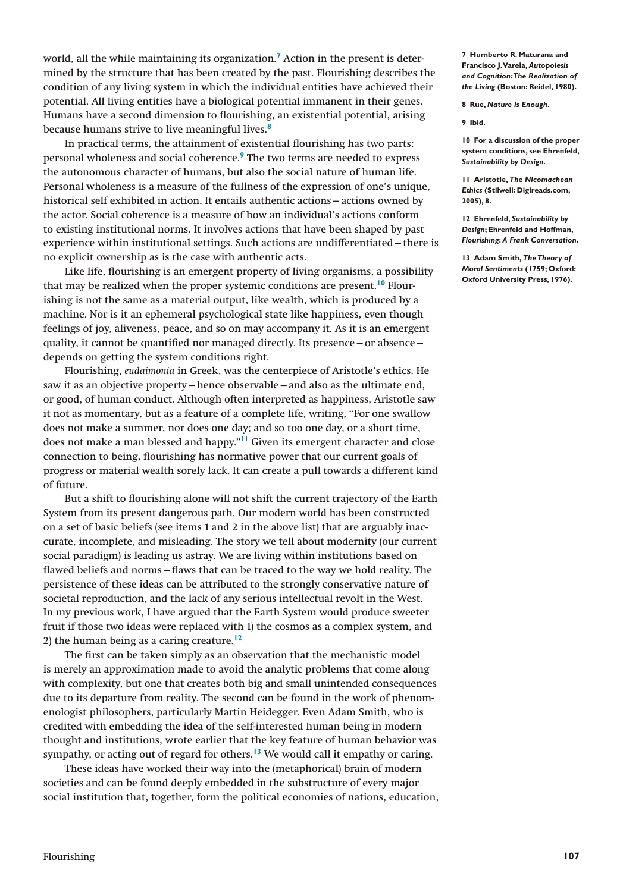world, all the while maintaining its organization.**[7](#page-2-0)** Action in the present is determined by the structure that has been created by the past. Flourishing describes the condition of any living system in which the individual entities have achieved their potential. All living entities have a biological potential immanent in their genes. Humans have a second dimension to flourishing, an existential potential, arising because humans strive to live meaningful lives.**[8](#page-2-1)**

In practical terms, the attainment of existential flourishing has two parts: personal wholeness and social coherence.**[9](#page-2-2)** The two terms are needed to express the autonomous character of humans, but also the social nature of human life. Personal wholeness is a measure of the fullness of the expression of one's unique, historical self exhibited in action. It entails authentic actions—actions owned by the actor. Social coherence is a measure of how an individual's actions conform to existing institutional norms. It involves actions that have been shaped by past experience within institutional settings. Such actions are undifferentiated—there is no explicit ownership as is the case with authentic acts.

Like life, flourishing is an emergent property of living organisms, a possibility that may be realized when the proper systemic conditions are present.**[10](#page-2-3)** Flourishing is not the same as a material output, like wealth, which is produced by a machine. Nor is it an ephemeral psychological state like happiness, even though feelings of joy, aliveness, peace, and so on may accompany it. As it is an emergent quality, it cannot be quantified nor managed directly. Its presence—or absence depends on getting the system conditions right.

Flourishing, *eudaimonia* in Greek, was the centerpiece of Aristotle's ethics. He saw it as an objective property—hence observable—and also as the ultimate end, or good, of human conduct. Although often interpreted as happiness, Aristotle saw it not as momentary, but as a feature of a complete life, writing, "For one swallow does not make a summer, nor does one day; and so too one day, or a short time, does not make a man blessed and happy."**[11](#page-2-4)** Given its emergent character and close connection to being, flourishing has normative power that our current goals of progress or material wealth sorely lack. It can create a pull towards a different kind of future.

But a shift to flourishing alone will not shift the current trajectory of the Earth System from its present dangerous path. Our modern world has been constructed on a set of basic beliefs (see items 1 and 2 in the above list) that are arguably inaccurate, incomplete, and misleading. The story we tell about modernity (our current social paradigm) is leading us astray. We are living within institutions based on flawed beliefs and norms—flaws that can be traced to the way we hold reality. The persistence of these ideas can be attributed to the strongly conservative nature of societal reproduction, and the lack of any serious intellectual revolt in the West. In my previous work, I have argued that the Earth System would produce sweeter fruit if those two ideas were replaced with 1) the cosmos as a complex system, and 2) the human being as a caring creature.**[12](#page-2-5)**

The first can be taken simply as an observation that the mechanistic model is merely an approximation made to avoid the analytic problems that come along with complexity, but one that creates both big and small unintended consequences due to its departure from reality. The second can be found in the work of phenomenologist philosophers, particularly Martin Heidegger. Even Adam Smith, who is credited with embedding the idea of the self-interested human being in modern thought and institutions, wrote earlier that the key feature of human behavior was sympathy, or acting out of regard for others.**[13](#page-2-6)** We would call it empathy or caring.

These ideas have worked their way into the (metaphorical) brain of modern societies and can be found deeply embedded in the substructure of every major social institution that, together, form the political economies of nations, education, <span id="page-2-0"></span>**7 Humberto R. Maturana and Francisco J. Varela,** *Autopoiesis and Cognition: The Realization of the Living* **(Boston: Reidel, 1980).**

<span id="page-2-1"></span>**8 Rue,** *Nature Is Enough***.**

<span id="page-2-2"></span>**9 Ibid.**

<span id="page-2-3"></span>**10 For a discussion of the proper system conditions, see Ehrenfeld,**  *Sustainability by Design.*

<span id="page-2-4"></span>**11 Aristotle,** *The Nicomachean Ethics* **(Stilwell: Digireads.com, 2005), 8.**

<span id="page-2-5"></span>**12 Ehrenfeld,** *Sustainability by Design***; Ehrenfeld and Hoffman,**  *Flourishing***:** *A Frank Conversation***.**

<span id="page-2-6"></span>**13 Adam Smith,** *The Theory of Moral Sentiments* **(1759; Oxford: Oxford University Press, 1976).**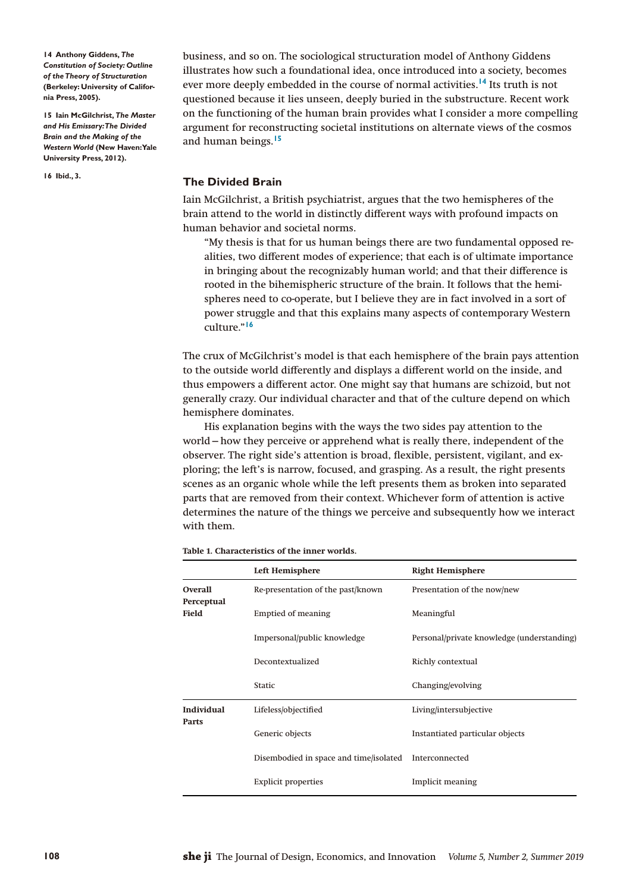<span id="page-3-0"></span>**14 Anthony Giddens,** *The Constitution of Society: Outline of the Theory of Structuration* **(Berkeley: University of California Press, 2005).**

<span id="page-3-1"></span>**15 Iain McGilchrist,** *The Master and His Emissary: The Divided Brain and the Making of the Western World* **(New Haven: Yale University Press, 2012).**

<span id="page-3-2"></span>**16 Ibid., 3.**

business, and so on. The sociological structuration model of Anthony Giddens illustrates how such a foundational idea, once introduced into a society, becomes ever more deeply embedded in the course of normal activities.**[14](#page-3-0)** Its truth is not questioned because it lies unseen, deeply buried in the substructure. Recent work on the functioning of the human brain provides what I consider a more compelling argument for reconstructing societal institutions on alternate views of the cosmos and human beings.**[15](#page-3-1)**

# **The Divided Brain**

Iain McGilchrist, a British psychiatrist, argues that the two hemispheres of the brain attend to the world in distinctly different ways with profound impacts on human behavior and societal norms.

"My thesis is that for us human beings there are two fundamental opposed realities, two different modes of experience; that each is of ultimate importance in bringing about the recognizably human world; and that their difference is rooted in the bihemispheric structure of the brain. It follows that the hemispheres need to co-operate, but I believe they are in fact involved in a sort of power struggle and that this explains many aspects of contemporary Western culture."**[16](#page-3-2)**

The crux of McGilchrist's model is that each hemisphere of the brain pays attention to the outside world differently and displays a different world on the inside, and thus empowers a different actor. One might say that humans are schizoid, but not generally crazy. Our individual character and that of the culture depend on which hemisphere dominates.

His explanation begins with the ways the two sides pay attention to the world—how they perceive or apprehend what is really there, independent of the observer. The right side's attention is broad, flexible, persistent, vigilant, and exploring; the left's is narrow, focused, and grasping. As a result, the right presents scenes as an organic whole while the left presents them as broken into separated parts that are removed from their context. Whichever form of attention is active determines the nature of the things we perceive and subsequently how we interact with them.

|                              | <b>Left Hemisphere</b>                 | <b>Right Hemisphere</b>                    |
|------------------------------|----------------------------------------|--------------------------------------------|
| <b>Overall</b><br>Perceptual | Re-presentation of the past/known      | Presentation of the now/new                |
| Field                        | <b>Emptied of meaning</b>              | Meaningful                                 |
|                              | Impersonal/public knowledge            | Personal/private knowledge (understanding) |
|                              | Decontextualized                       | Richly contextual                          |
|                              | <b>Static</b>                          | Changing/evolving                          |
| Individual<br>Parts          | Lifeless/objectified                   | Living/intersubjective                     |
|                              | Generic objects                        | Instantiated particular objects            |
|                              | Disembodied in space and time/isolated | Interconnected                             |
|                              | <b>Explicit properties</b>             | Implicit meaning                           |

<span id="page-3-3"></span>**Table 1. Characteristics of the inner worlds.**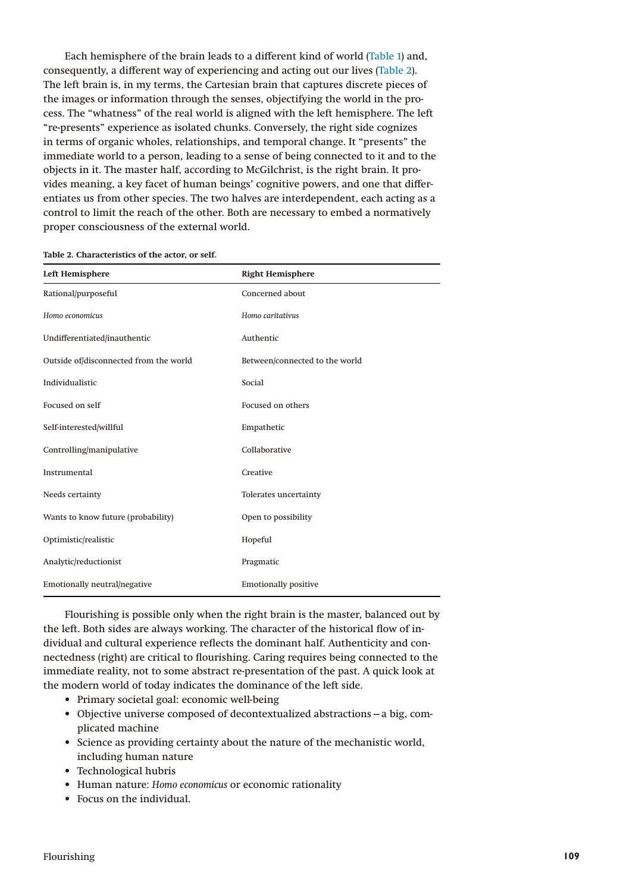Each hemisphere of the brain leads to a different kind of world ([Table 1\)](#page-3-3) and, consequently, a different way of experiencing and acting out our lives [\(Table 2\)](#page-4-0). The left brain is, in my terms, the Cartesian brain that captures discrete pieces of the images or information through the senses, objectifying the world in the process. The "whatness" of the real world is aligned with the left hemisphere. The left "re-presents" experience as isolated chunks. Conversely, the right side cognizes in terms of organic wholes, relationships, and temporal change. It "presents" the immediate world to a person, leading to a sense of being connected to it and to the objects in it. The master half, according to McGilchrist, is the right brain. It provides meaning, a key facet of human beings' cognitive powers, and one that differentiates us from other species. The two halves are interdependent, each acting as a control to limit the reach of the other. Both are necessary to embed a normatively proper consciousness of the external world.

| <b>Left Hemisphere</b>                 | <b>Right Hemisphere</b>        |
|----------------------------------------|--------------------------------|
| Rational/purposeful                    | Concerned about                |
| Homo economicus                        | Homo caritativus               |
| Undifferentiated/inauthentic           | Authentic                      |
| Outside of/disconnected from the world | Between/connected to the world |
| Individualistic                        | Social                         |
| Focused on self                        | Focused on others              |
| Self-interested/willful                | Empathetic                     |
| Controlling/manipulative               | Collaborative                  |
| Instrumental                           | Creative                       |
| Needs certainty                        | Tolerates uncertainty          |
| Wants to know future (probability)     | Open to possibility            |
| Optimistic/realistic                   | Hopeful                        |
| Analytic/reductionist                  | Pragmatic                      |
| Emotionally neutral/negative           | <b>Emotionally positive</b>    |

<span id="page-4-0"></span>**Table 2. Characteristics of the actor, or self.**

Flourishing is possible only when the right brain is the master, balanced out by the left. Both sides are always working. The character of the historical flow of individual and cultural experience reflects the dominant half. Authenticity and connectedness (right) are critical to flourishing. Caring requires being connected to the immediate reality, not to some abstract re-presentation of the past. A quick look at the modern world of today indicates the dominance of the left side.

- Primary societal goal: economic well-being
- Objective universe composed of decontextualized abstractions—a big, complicated machine
- Science as providing certainty about the nature of the mechanistic world, including human nature
- Technological hubris
- Human nature: *Homo economicus* or economic rationality
- Focus on the individual.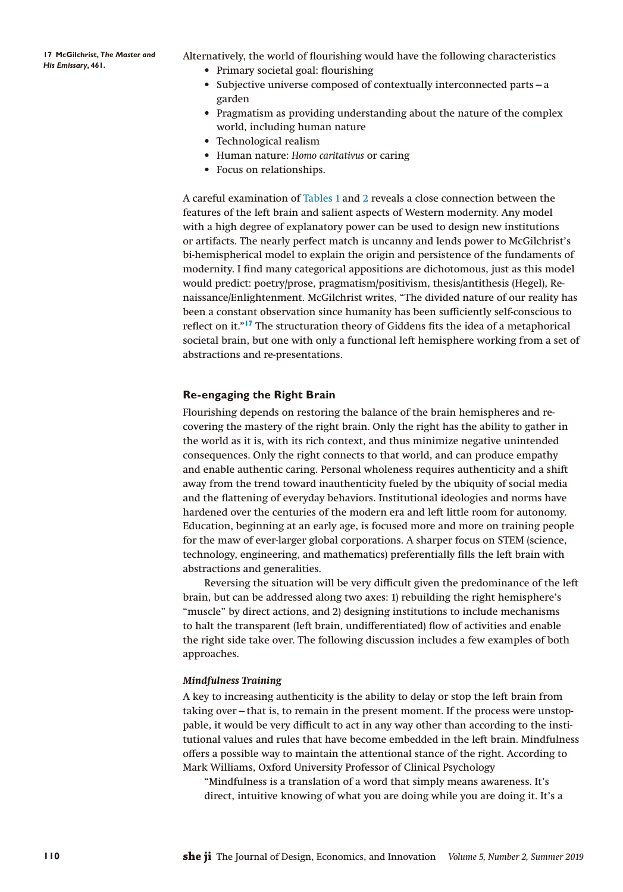<span id="page-5-0"></span>**17 McGilchrist,** *The Master and His Emissary***, 461.**

Alternatively, the world of flourishing would have the following characteristics • Primary societal goal: flourishing

- Subjective universe composed of contextually interconnected parts—a garden
- Pragmatism as providing understanding about the nature of the complex world, including human nature
- Technological realism
- Human nature: *Homo caritativus* or caring
- Focus on relationships.

A careful examination of [Tables 1](#page-3-3) and [2](#page-4-0) reveals a close connection between the features of the left brain and salient aspects of Western modernity. Any model with a high degree of explanatory power can be used to design new institutions or artifacts. The nearly perfect match is uncanny and lends power to McGilchrist's bi-hemispherical model to explain the origin and persistence of the fundaments of modernity. I find many categorical appositions are dichotomous, just as this model would predict: poetry/prose, pragmatism/positivism, thesis/antithesis (Hegel), Renaissance/Enlightenment. McGilchrist writes, "The divided nature of our reality has been a constant observation since humanity has been sufficiently self-conscious to reflect on it."**[17](#page-5-0)** The structuration theory of Giddens fits the idea of a metaphorical societal brain, but one with only a functional left hemisphere working from a set of abstractions and re-presentations.

### **Re-engaging the Right Brain**

Flourishing depends on restoring the balance of the brain hemispheres and recovering the mastery of the right brain. Only the right has the ability to gather in the world as it is, with its rich context, and thus minimize negative unintended consequences. Only the right connects to that world, and can produce empathy and enable authentic caring. Personal wholeness requires authenticity and a shift away from the trend toward inauthenticity fueled by the ubiquity of social media and the flattening of everyday behaviors. Institutional ideologies and norms have hardened over the centuries of the modern era and left little room for autonomy. Education, beginning at an early age, is focused more and more on training people for the maw of ever-larger global corporations. A sharper focus on STEM (science, technology, engineering, and mathematics) preferentially fills the left brain with abstractions and generalities.

Reversing the situation will be very difficult given the predominance of the left brain, but can be addressed along two axes: 1) rebuilding the right hemisphere's "muscle" by direct actions, and 2) designing institutions to include mechanisms to halt the transparent (left brain, undifferentiated) flow of activities and enable the right side take over. The following discussion includes a few examples of both approaches.

## *Mindfulness Training*

A key to increasing authenticity is the ability to delay or stop the left brain from taking over—that is, to remain in the present moment. If the process were unstoppable, it would be very difficult to act in any way other than according to the institutional values and rules that have become embedded in the left brain. Mindfulness offers a possible way to maintain the attentional stance of the right. According to Mark Williams, Oxford University Professor of Clinical Psychology

"Mindfulness is a translation of a word that simply means awareness. It's direct, intuitive knowing of what you are doing while you are doing it. It's a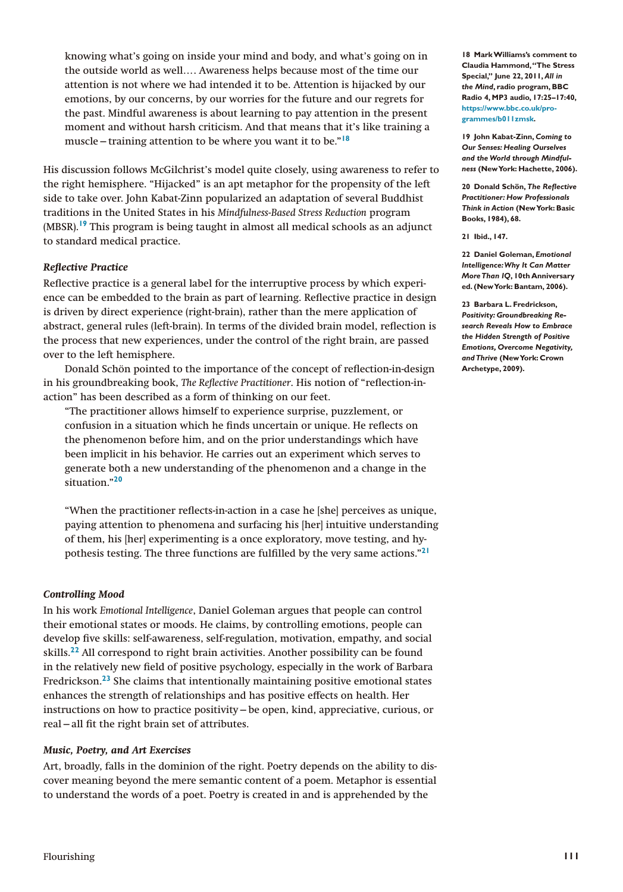knowing what's going on inside your mind and body, and what's going on in the outside world as well…. Awareness helps because most of the time our attention is not where we had intended it to be. Attention is hijacked by our emotions, by our concerns, by our worries for the future and our regrets for the past. Mindful awareness is about learning to pay attention in the present moment and without harsh criticism. And that means that it's like training a muscle—training attention to be where you want it to be."**[18](#page-6-0)**

His discussion follows McGilchrist's model quite closely, using awareness to refer to the right hemisphere. "Hijacked" is an apt metaphor for the propensity of the left side to take over. John Kabat-Zinn popularized an adaptation of several Buddhist traditions in the United States in his *Mindfulness-Based Stress Reduction* program (MBSR).**[19](#page-6-1)** This program is being taught in almost all medical schools as an adjunct to standard medical practice.

# *Reflective Practice*

Reflective practice is a general label for the interruptive process by which experience can be embedded to the brain as part of learning. Reflective practice in design is driven by direct experience (right-brain), rather than the mere application of abstract, general rules (left-brain). In terms of the divided brain model, reflection is the process that new experiences, under the control of the right brain, are passed over to the left hemisphere.

Donald Schön pointed to the importance of the concept of reflection-in-design in his groundbreaking book, *The Reflective Practitioner*. His notion of "reflection-inaction" has been described as a form of thinking on our feet.

"The practitioner allows himself to experience surprise, puzzlement, or confusion in a situation which he finds uncertain or unique. He reflects on the phenomenon before him, and on the prior understandings which have been implicit in his behavior. He carries out an experiment which serves to generate both a new understanding of the phenomenon and a change in the situation."**[20](#page-6-2)**

"When the practitioner reflects-in-action in a case he [she] perceives as unique, paying attention to phenomena and surfacing his [her] intuitive understanding of them, his [her] experimenting is a once exploratory, move testing, and hypothesis testing. The three functions are fulfilled by the very same actions."**[21](#page-6-3)**

# *Controlling Mood*

In his work *Emotional Intelligence*, Daniel Goleman argues that people can control their emotional states or moods. He claims, by controlling emotions, people can develop five skills: self-awareness, self-regulation, motivation, empathy, and social skills.**[22](#page-6-4)** All correspond to right brain activities. Another possibility can be found in the relatively new field of positive psychology, especially in the work of Barbara Fredrickson.**[23](#page-6-5)** She claims that intentionally maintaining positive emotional states enhances the strength of relationships and has positive effects on health. Her instructions on how to practice positivity—be open, kind, appreciative, curious, or real—all fit the right brain set of attributes.

# *Music, Poetry, and Art Exercises*

Art, broadly, falls in the dominion of the right. Poetry depends on the ability to discover meaning beyond the mere semantic content of a poem. Metaphor is essential to understand the words of a poet. Poetry is created in and is apprehended by the

<span id="page-6-0"></span>**18 Mark Williams's comment to Claudia Hammond, "The Stress Special," June 22, 2011,** *All in the Mind***, radio program, BBC Radio 4, MP3 audio, 17:25–17:40, [https://www.bbc.co.uk/pro](https://www.bbc.co.uk/programmes/b011zmsk)[grammes/b011zmsk](https://www.bbc.co.uk/programmes/b011zmsk).**

<span id="page-6-1"></span>**19 John Kabat-Zinn,** *Coming to Our Senses: Healing Ourselves and the World through Mindfulness* **(New York: Hachette, 2006).**

<span id="page-6-2"></span>**20 Donald Schön,** *The Reflective Practitioner: How Professionals Think in Action* **(New York: Basic Books, 1984), 68.**

<span id="page-6-3"></span>**21 Ibid., 147.**

<span id="page-6-4"></span>**22 Daniel Goleman,** *Emotional Intelligence: Why It Can Matter More Than IQ***, 10th Anniversary ed. (New York: Bantam, 2006).**

<span id="page-6-5"></span>**23 Barbara L. Fredrickson,**  *Positivity: Groundbreaking Research Reveals How to Embrace the Hidden Strength of Positive Emotions, Overcome Negativity, and Thrive* **(New York: Crown Archetype, 2009).**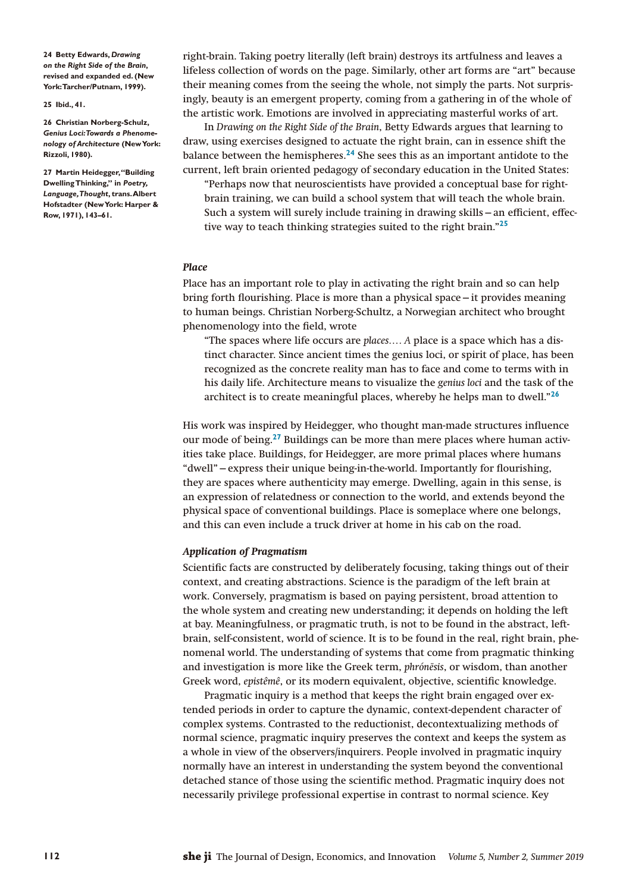<span id="page-7-0"></span>**24 Betty Edwards,** *Drawing on the Right Side of the Brain***, revised and expanded ed. (New York: Tarcher/Putnam, 1999).**

<span id="page-7-1"></span>**25 Ibid., 41.**

<span id="page-7-2"></span>**26 Christian Norberg-Schulz,**  *Genius Loci: Towards a Phenomenology of Architecture* **(New York: Rizzoli, 1980).**

<span id="page-7-3"></span>**27 Martin Heidegger, "Building Dwelling Thinking," in** *Poetry, Language, Thought***, trans. Albert Hofstadter (New York: Harper & Row, 1971), 143–61.**

right-brain. Taking poetry literally (left brain) destroys its artfulness and leaves a lifeless collection of words on the page. Similarly, other art forms are "art" because their meaning comes from the seeing the whole, not simply the parts. Not surprisingly, beauty is an emergent property, coming from a gathering in of the whole of the artistic work. Emotions are involved in appreciating masterful works of art.

In *Drawing on the Right Side of the Brain*, Betty Edwards argues that learning to draw, using exercises designed to actuate the right brain, can in essence shift the balance between the hemispheres.**[24](#page-7-0)** She sees this as an important antidote to the current, left brain oriented pedagogy of secondary education in the United States:

"Perhaps now that neuroscientists have provided a conceptual base for rightbrain training, we can build a school system that will teach the whole brain. Such a system will surely include training in drawing skills—an efficient, effective way to teach thinking strategies suited to the right brain."**[25](#page-7-1)**

#### *Place*

Place has an important role to play in activating the right brain and so can help bring forth flourishing. Place is more than a physical space—it provides meaning to human beings. Christian Norberg-Schultz, a Norwegian architect who brought phenomenology into the field, wrote

"The spaces where life occurs are *places…. A* place is a space which has a distinct character. Since ancient times the genius loci, or spirit of place, has been recognized as the concrete reality man has to face and come to terms with in his daily life. Architecture means to visualize the *genius loci* and the task of the architect is to create meaningful places, whereby he helps man to dwell."**[26](#page-7-2)**

His work was inspired by Heidegger, who thought man-made structures influence our mode of being.**[27](#page-7-3)** Buildings can be more than mere places where human activities take place. Buildings, for Heidegger, are more primal places where humans "dwell"—express their unique being-in-the-world. Importantly for flourishing, they are spaces where authenticity may emerge. Dwelling, again in this sense, is an expression of relatedness or connection to the world, and extends beyond the physical space of conventional buildings. Place is someplace where one belongs, and this can even include a truck driver at home in his cab on the road.

#### *Application of Pragmatism*

Scientific facts are constructed by deliberately focusing, taking things out of their context, and creating abstractions. Science is the paradigm of the left brain at work. Conversely, pragmatism is based on paying persistent, broad attention to the whole system and creating new understanding; it depends on holding the left at bay. Meaningfulness, or pragmatic truth, is not to be found in the abstract, leftbrain, self-consistent, world of science. It is to be found in the real, right brain, phenomenal world. The understanding of systems that come from pragmatic thinking and investigation is more like the Greek term, *phrónēsis*, or wisdom, than another Greek word, *epistêmê*, or its modern equivalent, objective, scientific knowledge.

Pragmatic inquiry is a method that keeps the right brain engaged over extended periods in order to capture the dynamic, context-dependent character of complex systems. Contrasted to the reductionist, decontextualizing methods of normal science, pragmatic inquiry preserves the context and keeps the system as a whole in view of the observers/inquirers. People involved in pragmatic inquiry normally have an interest in understanding the system beyond the conventional detached stance of those using the scientific method. Pragmatic inquiry does not necessarily privilege professional expertise in contrast to normal science. Key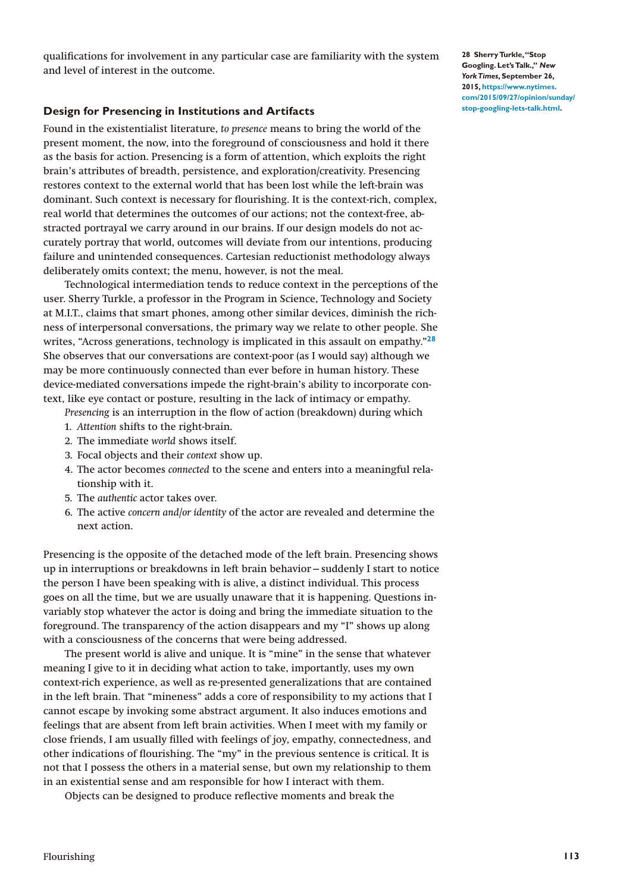qualifications for involvement in any particular case are familiarity with the system and level of interest in the outcome.

# **Design for Presencing in Institutions and Artifacts**

Found in the existentialist literature, *to presence* means to bring the world of the present moment, the now, into the foreground of consciousness and hold it there as the basis for action. Presencing is a form of attention, which exploits the right brain's attributes of breadth, persistence, and exploration/creativity. Presencing restores context to the external world that has been lost while the left-brain was dominant. Such context is necessary for flourishing. It is the context-rich, complex, real world that determines the outcomes of our actions; not the context-free, abstracted portrayal we carry around in our brains. If our design models do not accurately portray that world, outcomes will deviate from our intentions, producing failure and unintended consequences. Cartesian reductionist methodology always deliberately omits context; the menu, however, is not the meal.

Technological intermediation tends to reduce context in the perceptions of the user. Sherry Turkle, a professor in the Program in Science, Technology and Society at M.I.T., claims that smart phones, among other similar devices, diminish the richness of interpersonal conversations, the primary way we relate to other people. She writes, "Across generations, technology is implicated in this assault on empathy."**[28](#page-8-0)** She observes that our conversations are context-poor (as I would say) although we may be more continuously connected than ever before in human history. These device-mediated conversations impede the right-brain's ability to incorporate context, like eye contact or posture, resulting in the lack of intimacy or empathy.

*Presencing* is an interruption in the flow of action (breakdown) during which

- 1. *Attention* shifts to the right-brain.
- 2. The immediate *world* shows itself.
- 3. Focal objects and their *context* show up.
- 4. The actor becomes *connected* to the scene and enters into a meaningful relationship with it.
- 5. The *authentic* actor takes over.
- 6. The active *concern and/or identity* of the actor are revealed and determine the next action.

Presencing is the opposite of the detached mode of the left brain. Presencing shows up in interruptions or breakdowns in left brain behavior—suddenly I start to notice the person I have been speaking with is alive, a distinct individual. This process goes on all the time, but we are usually unaware that it is happening. Questions invariably stop whatever the actor is doing and bring the immediate situation to the foreground. The transparency of the action disappears and my "I" shows up along with a consciousness of the concerns that were being addressed.

The present world is alive and unique. It is "mine" in the sense that whatever meaning I give to it in deciding what action to take, importantly, uses my own context-rich experience, as well as re-presented generalizations that are contained in the left brain. That "mineness" adds a core of responsibility to my actions that I cannot escape by invoking some abstract argument. It also induces emotions and feelings that are absent from left brain activities. When I meet with my family or close friends, I am usually filled with feelings of joy, empathy, connectedness, and other indications of flourishing. The "my" in the previous sentence is critical. It is not that I possess the others in a material sense, but own my relationship to them in an existential sense and am responsible for how I interact with them.

Objects can be designed to produce reflective moments and break the

<span id="page-8-0"></span>**28 Sherry Turkle, "Stop Googling. Let's Talk.,"** *New York Times***, September 26, 2015, [https://www.nytimes.](https://www.nytimes.com/2015/09/27/opinion/sunday/stop-googling-lets-talk.html) [com/2015/09/27/opinion/sunday/](https://www.nytimes.com/2015/09/27/opinion/sunday/stop-googling-lets-talk.html) [stop-googling-lets-talk.html](https://www.nytimes.com/2015/09/27/opinion/sunday/stop-googling-lets-talk.html).**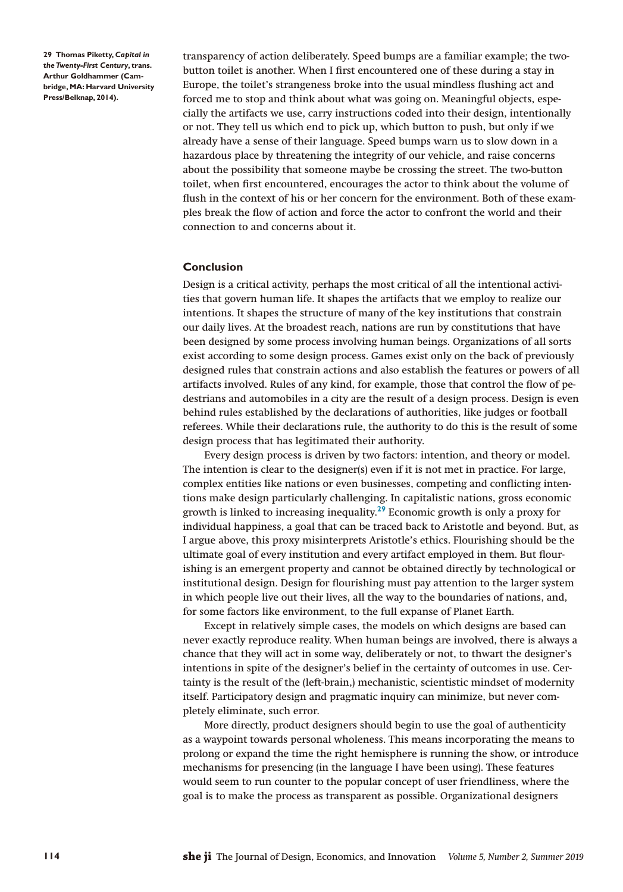<span id="page-9-0"></span>**29 Thomas Piketty,** *Capital in the Twenty-First Century***, trans. Arthur Goldhammer (Cambridge, MA: Harvard University Press/Belknap, 2014).**

transparency of action deliberately. Speed bumps are a familiar example; the twobutton toilet is another. When I first encountered one of these during a stay in Europe, the toilet's strangeness broke into the usual mindless flushing act and forced me to stop and think about what was going on. Meaningful objects, especially the artifacts we use, carry instructions coded into their design, intentionally or not. They tell us which end to pick up, which button to push, but only if we already have a sense of their language. Speed bumps warn us to slow down in a hazardous place by threatening the integrity of our vehicle, and raise concerns about the possibility that someone maybe be crossing the street. The two-button toilet, when first encountered, encourages the actor to think about the volume of flush in the context of his or her concern for the environment. Both of these examples break the flow of action and force the actor to confront the world and their connection to and concerns about it.

### **Conclusion**

Design is a critical activity, perhaps the most critical of all the intentional activities that govern human life. It shapes the artifacts that we employ to realize our intentions. It shapes the structure of many of the key institutions that constrain our daily lives. At the broadest reach, nations are run by constitutions that have been designed by some process involving human beings. Organizations of all sorts exist according to some design process. Games exist only on the back of previously designed rules that constrain actions and also establish the features or powers of all artifacts involved. Rules of any kind, for example, those that control the flow of pedestrians and automobiles in a city are the result of a design process. Design is even behind rules established by the declarations of authorities, like judges or football referees. While their declarations rule, the authority to do this is the result of some design process that has legitimated their authority.

Every design process is driven by two factors: intention, and theory or model. The intention is clear to the designer(s) even if it is not met in practice. For large, complex entities like nations or even businesses, competing and conflicting intentions make design particularly challenging. In capitalistic nations, gross economic growth is linked to increasing inequality.**[29](#page-9-0)** Economic growth is only a proxy for individual happiness, a goal that can be traced back to Aristotle and beyond. But, as I argue above, this proxy misinterprets Aristotle's ethics. Flourishing should be the ultimate goal of every institution and every artifact employed in them. But flourishing is an emergent property and cannot be obtained directly by technological or institutional design. Design for flourishing must pay attention to the larger system in which people live out their lives, all the way to the boundaries of nations, and, for some factors like environment, to the full expanse of Planet Earth.

Except in relatively simple cases, the models on which designs are based can never exactly reproduce reality. When human beings are involved, there is always a chance that they will act in some way, deliberately or not, to thwart the designer's intentions in spite of the designer's belief in the certainty of outcomes in use. Certainty is the result of the (left-brain,) mechanistic, scientistic mindset of modernity itself. Participatory design and pragmatic inquiry can minimize, but never completely eliminate, such error.

More directly, product designers should begin to use the goal of authenticity as a waypoint towards personal wholeness. This means incorporating the means to prolong or expand the time the right hemisphere is running the show, or introduce mechanisms for presencing (in the language I have been using). These features would seem to run counter to the popular concept of user friendliness, where the goal is to make the process as transparent as possible. Organizational designers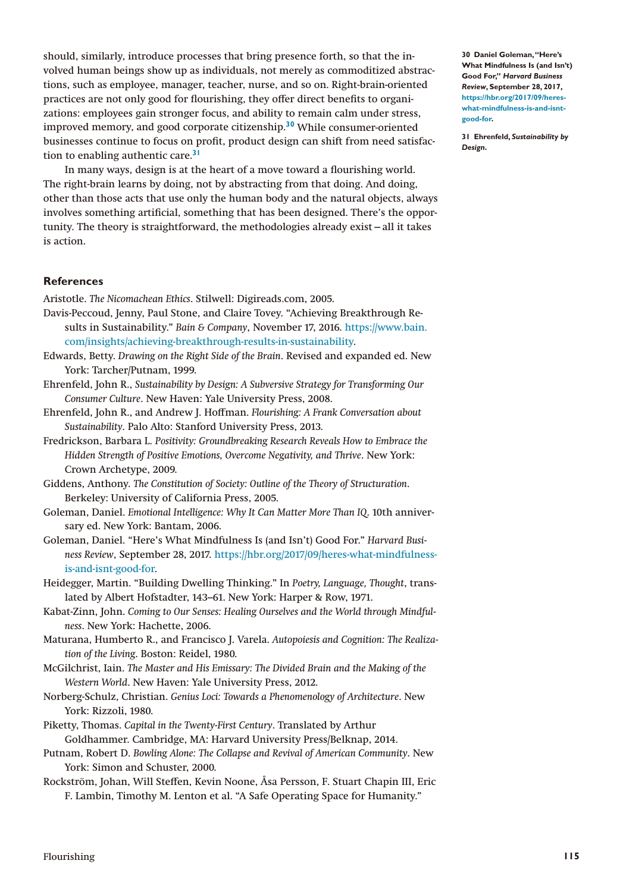should, similarly, introduce processes that bring presence forth, so that the involved human beings show up as individuals, not merely as commoditized abstractions, such as employee, manager, teacher, nurse, and so on. Right-brain-oriented practices are not only good for flourishing, they offer direct benefits to organizations: employees gain stronger focus, and ability to remain calm under stress, improved memory, and good corporate citizenship.**[30](#page-10-0)** While consumer-oriented businesses continue to focus on profit, product design can shift from need satisfaction to enabling authentic care.**[31](#page-10-1)**

In many ways, design is at the heart of a move toward a flourishing world. The right-brain learns by doing, not by abstracting from that doing. And doing, other than those acts that use only the human body and the natural objects, always involves something artificial, something that has been designed. There's the opportunity. The theory is straightforward, the methodologies already exist—all it takes is action.

# **References**

Aristotle. *The Nicomachean Ethics*. Stilwell: Digireads.com, 2005.

- Davis-Peccoud, Jenny, Paul Stone, and Claire Tovey. "Achieving Breakthrough Results in Sustainability." *Bain & Company*, November 17, 2016. [https://www.bain.](https://www.bain.com/insights/achieving-breakthrough-results-in-sustainability) [com/insights/achieving-breakthrough-results-in-sustainability](https://www.bain.com/insights/achieving-breakthrough-results-in-sustainability).
- Edwards, Betty. *Drawing on the Right Side of the Brain*. Revised and expanded ed. New York: Tarcher/Putnam, 1999.
- Ehrenfeld, John R., *Sustainability by Design: A Subversive Strategy for Transforming Our Consumer Culture*. New Haven: Yale University Press, 2008.
- Ehrenfeld, John R., and Andrew J. Hoffman. *Flourishing: A Frank Conversation about Sustainability*. Palo Alto: Stanford University Press, 2013.
- Fredrickson, Barbara L. *Positivity: Groundbreaking Research Reveals How to Embrace the Hidden Strength of Positive Emotions, Overcome Negativity, and Thrive*. New York: Crown Archetype, 2009.
- Giddens, Anthony. *The Constitution of Society: Outline of the Theory of Structuration*. Berkeley: University of California Press, 2005.
- Goleman, Daniel. *Emotional Intelligence: Why It Can Matter More Than IQ*. 10th anniversary ed. New York: Bantam, 2006.
- Goleman, Daniel. "Here's What Mindfulness Is (and Isn't) Good For." *Harvard Business Review*, September 28, 2017. [https://hbr.org/2017/09/heres-what-mindfulness](https://hbr.org/2017/09/heres-what-mindfulness-is-and-isnt-good-for)[is-and-isnt-good-for](https://hbr.org/2017/09/heres-what-mindfulness-is-and-isnt-good-for).
- Heidegger, Martin. "Building Dwelling Thinking." In *Poetry, Language, Thought*, translated by Albert Hofstadter, 143–61. New York: Harper & Row, 1971.
- Kabat-Zinn, John. *Coming to Our Senses: Healing Ourselves and the World through Mindfulness*. New York: Hachette, 2006.
- Maturana, Humberto R., and Francisco J. Varela. *Autopoiesis and Cognition: The Realization of the Living*. Boston: Reidel, 1980.
- McGilchrist, Iain. *The Master and His Emissary: The Divided Brain and the Making of the Western World*. New Haven: Yale University Press, 2012.
- Norberg-Schulz, Christian. *Genius Loci: Towards a Phenomenology of Architecture*. New York: Rizzoli, 1980.
- Piketty, Thomas. *Capital in the Twenty-First Century*. Translated by Arthur Goldhammer. Cambridge, MA: Harvard University Press/Belknap, 2014.
- Putnam, Robert D. *Bowling Alone: The Collapse and Revival of American Community*. New York: Simon and Schuster, 2000.
- Rockström, Johan, Will Steffen, Kevin Noone, Åsa Persson, F. Stuart Chapin III, Eric F. Lambin, Timothy M. Lenton et al. "A Safe Operating Space for Humanity."

<span id="page-10-0"></span>**30 Daniel Goleman, "Here's What Mindfulness Is (and Isn't) Good For,"** *Harvard Business Review***, September 28, 2017, [https://hbr.org/2017/09/heres](https://hbr.org/2017/09/heres-what-mindfulness-is-and-isnt-good-for)[what-mindfulness-is-and-isnt](https://hbr.org/2017/09/heres-what-mindfulness-is-and-isnt-good-for)[good-for](https://hbr.org/2017/09/heres-what-mindfulness-is-and-isnt-good-for).**

<span id="page-10-1"></span>**31 Ehrenfeld,** *Sustainability by Design***.**